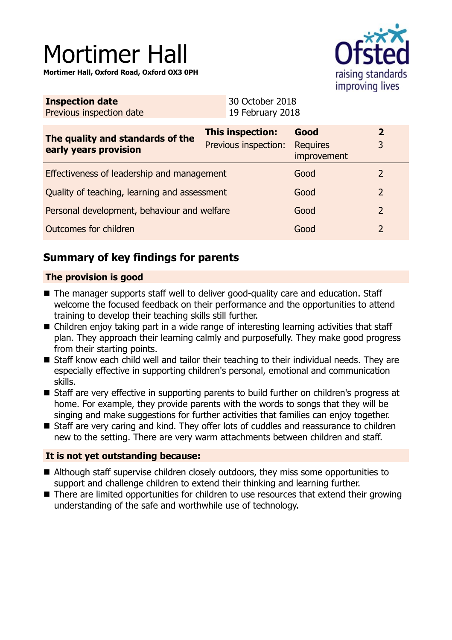# Mortimer Hall

**Mortimer Hall, Oxford Road, Oxford OX3 0PH**



| <b>Inspection date</b>   | 30 October 2018  |
|--------------------------|------------------|
| Previous inspection date | 19 February 2018 |

| The quality and standards of the<br>early years provision | This inspection:<br>Previous inspection: | Good<br><b>Requires</b><br>improvement |  |
|-----------------------------------------------------------|------------------------------------------|----------------------------------------|--|
| Effectiveness of leadership and management                |                                          | Good                                   |  |
| Quality of teaching, learning and assessment              |                                          | Good                                   |  |
| Personal development, behaviour and welfare               |                                          | Good                                   |  |
| Outcomes for children                                     |                                          | Good                                   |  |

# **Summary of key findings for parents**

### **The provision is good**

- $\blacksquare$  The manager supports staff well to deliver good-quality care and education. Staff welcome the focused feedback on their performance and the opportunities to attend training to develop their teaching skills still further.
- $\blacksquare$  Children enjoy taking part in a wide range of interesting learning activities that staff plan. They approach their learning calmly and purposefully. They make good progress from their starting points.
- $\blacksquare$  Staff know each child well and tailor their teaching to their individual needs. They are especially effective in supporting children's personal, emotional and communication skills.
- Staff are very effective in supporting parents to build further on children's progress at home. For example, they provide parents with the words to songs that they will be singing and make suggestions for further activities that families can enjoy together.
- Staff are very caring and kind. They offer lots of cuddles and reassurance to children new to the setting. There are very warm attachments between children and staff.

## **It is not yet outstanding because:**

- Although staff supervise children closely outdoors, they miss some opportunities to support and challenge children to extend their thinking and learning further.
- There are limited opportunities for children to use resources that extend their growing understanding of the safe and worthwhile use of technology.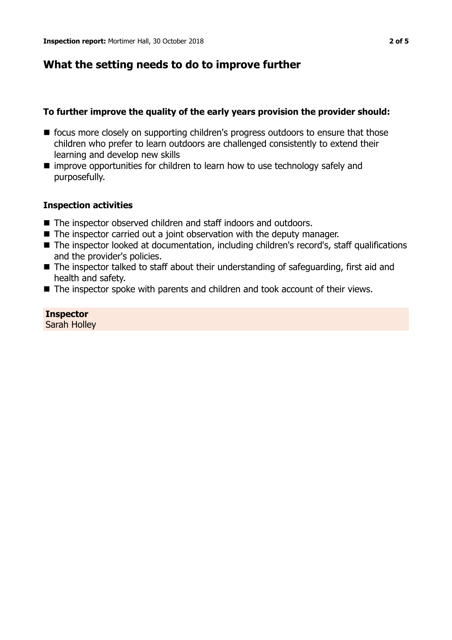# **What the setting needs to do to improve further**

## **To further improve the quality of the early years provision the provider should:**

- focus more closely on supporting children's progress outdoors to ensure that those children who prefer to learn outdoors are challenged consistently to extend their learning and develop new skills
- $\blacksquare$  improve opportunities for children to learn how to use technology safely and purposefully.

## **Inspection activities**

- The inspector observed children and staff indoors and outdoors.
- $\blacksquare$  The inspector carried out a joint observation with the deputy manager.
- The inspector looked at documentation, including children's record's, staff qualifications and the provider's policies.
- The inspector talked to staff about their understanding of safeguarding, first aid and health and safety.
- $\blacksquare$  The inspector spoke with parents and children and took account of their views.

**Inspector** Sarah Holley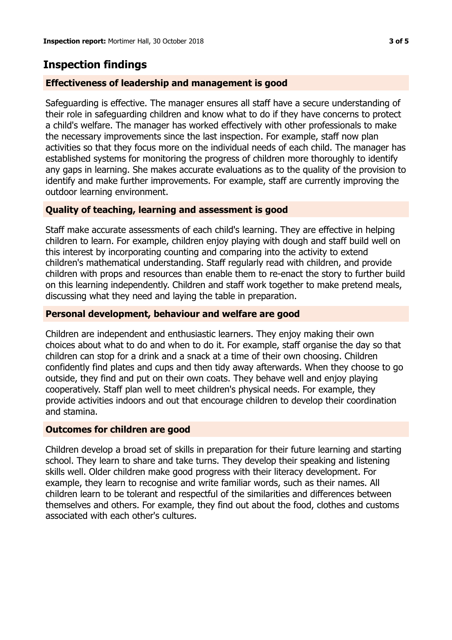# **Inspection findings**

## **Effectiveness of leadership and management is good**

Safeguarding is effective. The manager ensures all staff have a secure understanding of their role in safeguarding children and know what to do if they have concerns to protect a child's welfare. The manager has worked effectively with other professionals to make the necessary improvements since the last inspection. For example, staff now plan activities so that they focus more on the individual needs of each child. The manager has established systems for monitoring the progress of children more thoroughly to identify any gaps in learning. She makes accurate evaluations as to the quality of the provision to identify and make further improvements. For example, staff are currently improving the outdoor learning environment.

### **Quality of teaching, learning and assessment is good**

Staff make accurate assessments of each child's learning. They are effective in helping children to learn. For example, children enjoy playing with dough and staff build well on this interest by incorporating counting and comparing into the activity to extend children's mathematical understanding. Staff regularly read with children, and provide children with props and resources than enable them to re-enact the story to further build on this learning independently. Children and staff work together to make pretend meals, discussing what they need and laying the table in preparation.

#### **Personal development, behaviour and welfare are good**

Children are independent and enthusiastic learners. They enjoy making their own choices about what to do and when to do it. For example, staff organise the day so that children can stop for a drink and a snack at a time of their own choosing. Children confidently find plates and cups and then tidy away afterwards. When they choose to go outside, they find and put on their own coats. They behave well and enjoy playing cooperatively. Staff plan well to meet children's physical needs. For example, they provide activities indoors and out that encourage children to develop their coordination and stamina.

#### **Outcomes for children are good**

Children develop a broad set of skills in preparation for their future learning and starting school. They learn to share and take turns. They develop their speaking and listening skills well. Older children make good progress with their literacy development. For example, they learn to recognise and write familiar words, such as their names. All children learn to be tolerant and respectful of the similarities and differences between themselves and others. For example, they find out about the food, clothes and customs associated with each other's cultures.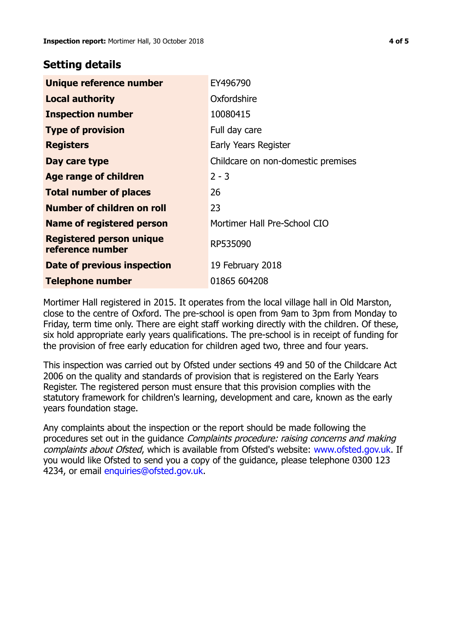## **Setting details**

| Unique reference number                             | EY496790                           |
|-----------------------------------------------------|------------------------------------|
| <b>Local authority</b>                              | Oxfordshire                        |
| <b>Inspection number</b>                            | 10080415                           |
| <b>Type of provision</b>                            | Full day care                      |
| <b>Registers</b>                                    | Early Years Register               |
| Day care type                                       | Childcare on non-domestic premises |
| Age range of children                               | $2 - 3$                            |
| <b>Total number of places</b>                       | 26                                 |
| Number of children on roll                          | 23                                 |
| <b>Name of registered person</b>                    | Mortimer Hall Pre-School CIO       |
| <b>Registered person unique</b><br>reference number | RP535090                           |
| Date of previous inspection                         | 19 February 2018                   |
| <b>Telephone number</b>                             | 01865 604208                       |

Mortimer Hall registered in 2015. It operates from the local village hall in Old Marston, close to the centre of Oxford. The pre-school is open from 9am to 3pm from Monday to Friday, term time only. There are eight staff working directly with the children. Of these, six hold appropriate early years qualifications. The pre-school is in receipt of funding for the provision of free early education for children aged two, three and four years.

This inspection was carried out by Ofsted under sections 49 and 50 of the Childcare Act 2006 on the quality and standards of provision that is registered on the Early Years Register. The registered person must ensure that this provision complies with the statutory framework for children's learning, development and care, known as the early years foundation stage.

Any complaints about the inspection or the report should be made following the procedures set out in the quidance *Complaints procedure: raising concerns and making* complaints about Ofsted, which is available from Ofsted's website: www.ofsted.gov.uk. If you would like Ofsted to send you a copy of the guidance, please telephone 0300 123 4234, or email [enquiries@ofsted.gov.uk.](mailto:enquiries@ofsted.gov.uk)